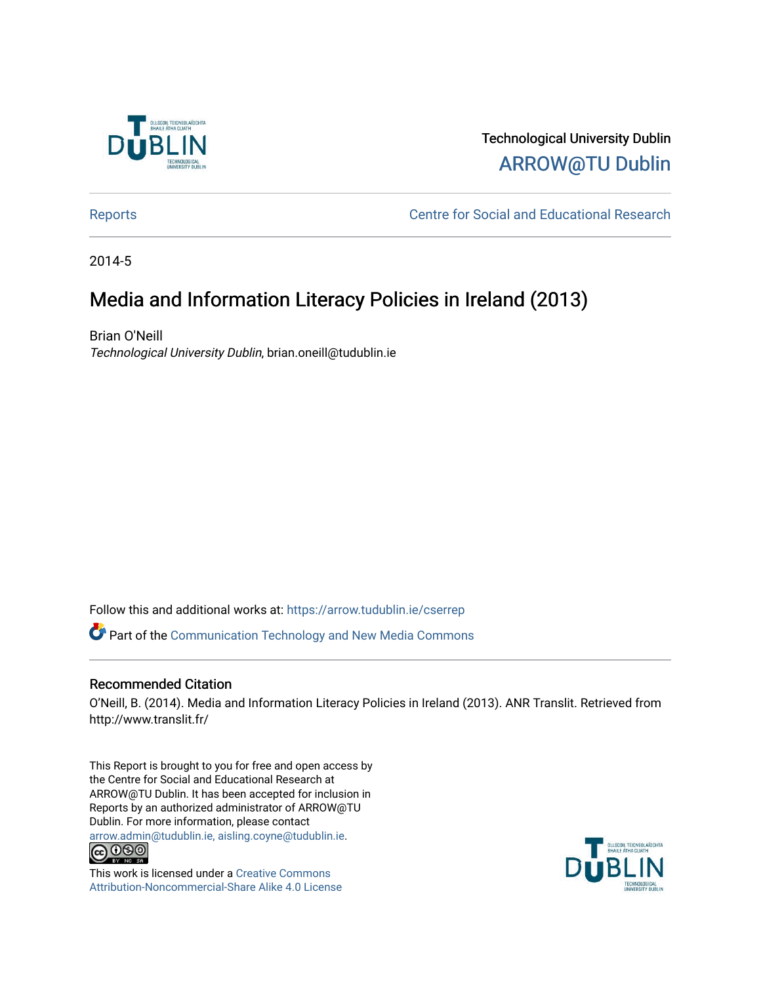

## Technological University Dublin [ARROW@TU Dublin](https://arrow.tudublin.ie/)

[Reports](https://arrow.tudublin.ie/cserrep) **Centre for Social and Educational Research** 

2014-5

# Media and Information Literacy Policies in Ireland (2013)

Brian O'Neill Technological University Dublin, brian.oneill@tudublin.ie

Follow this and additional works at: [https://arrow.tudublin.ie/cserrep](https://arrow.tudublin.ie/cserrep?utm_source=arrow.tudublin.ie%2Fcserrep%2F53&utm_medium=PDF&utm_campaign=PDFCoverPages)

Part of the [Communication Technology and New Media Commons](http://network.bepress.com/hgg/discipline/327?utm_source=arrow.tudublin.ie%2Fcserrep%2F53&utm_medium=PDF&utm_campaign=PDFCoverPages) 

## Recommended Citation

O'Neill, B. (2014). Media and Information Literacy Policies in Ireland (2013). ANR Translit. Retrieved from http://www.translit.fr/

This Report is brought to you for free and open access by the Centre for Social and Educational Research at ARROW@TU Dublin. It has been accepted for inclusion in Reports by an authorized administrator of ARROW@TU Dublin. For more information, please contact [arrow.admin@tudublin.ie, aisling.coyne@tudublin.ie](mailto:arrow.admin@tudublin.ie,%20aisling.coyne@tudublin.ie).<br>
co 000



This work is licensed under a [Creative Commons](http://creativecommons.org/licenses/by-nc-sa/4.0/) [Attribution-Noncommercial-Share Alike 4.0 License](http://creativecommons.org/licenses/by-nc-sa/4.0/)

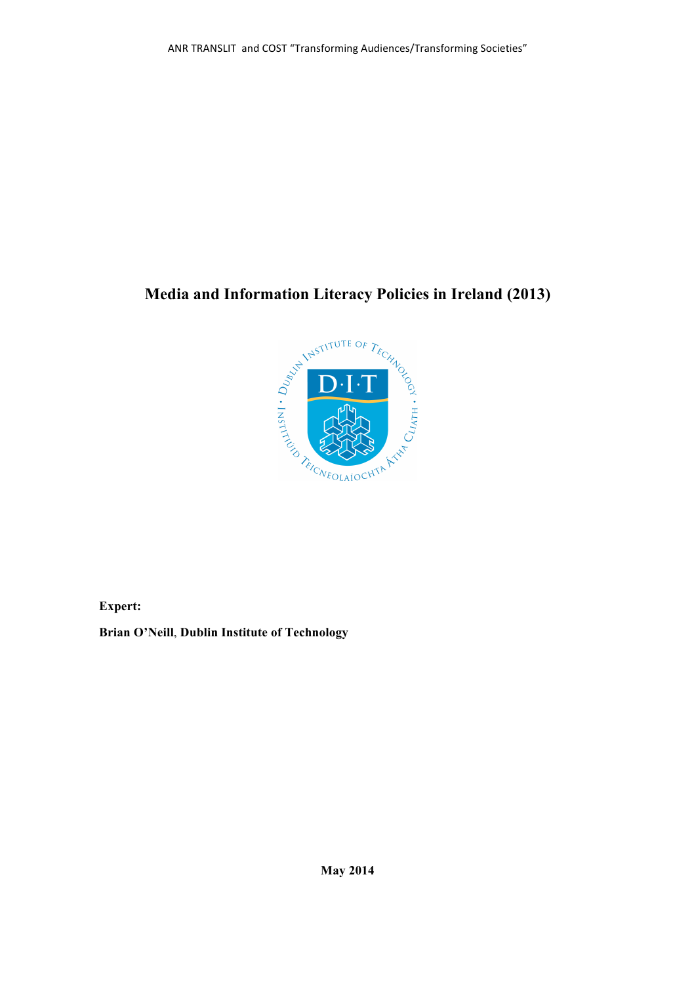## **Media and Information Literacy Policies in Ireland (2013)**



**Expert:** 

**Brian O'Neill**, **Dublin Institute of Technology**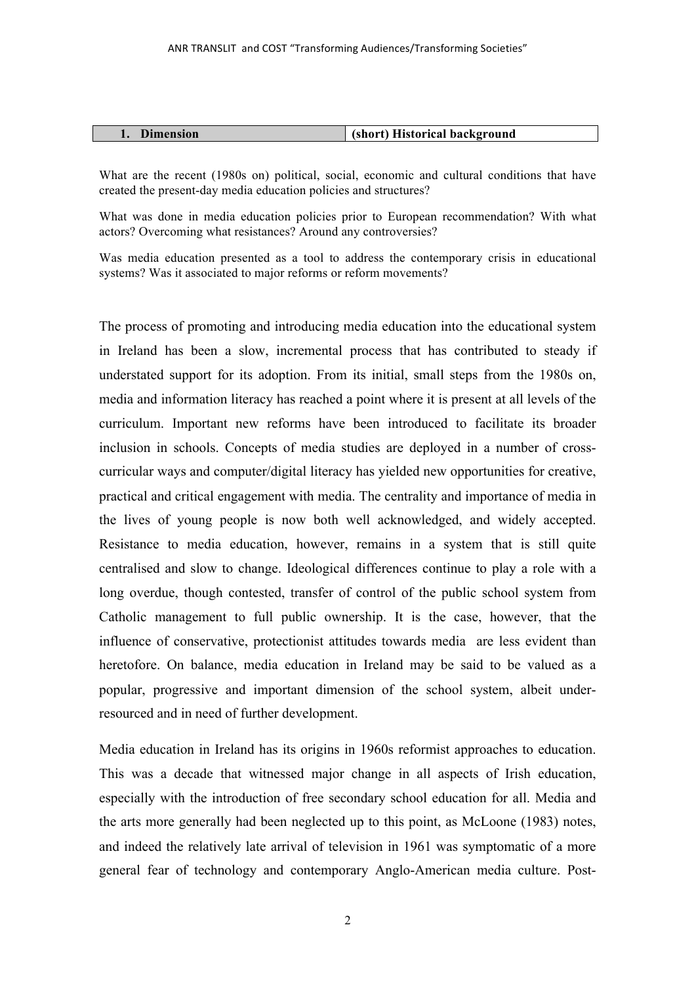| <b>Dimension</b> | (short) Historical background |
|------------------|-------------------------------|

What are the recent (1980s on) political, social, economic and cultural conditions that have created the present-day media education policies and structures?

What was done in media education policies prior to European recommendation? With what actors? Overcoming what resistances? Around any controversies?

Was media education presented as a tool to address the contemporary crisis in educational systems? Was it associated to major reforms or reform movements?

The process of promoting and introducing media education into the educational system in Ireland has been a slow, incremental process that has contributed to steady if understated support for its adoption. From its initial, small steps from the 1980s on, media and information literacy has reached a point where it is present at all levels of the curriculum. Important new reforms have been introduced to facilitate its broader inclusion in schools. Concepts of media studies are deployed in a number of crosscurricular ways and computer/digital literacy has yielded new opportunities for creative, practical and critical engagement with media. The centrality and importance of media in the lives of young people is now both well acknowledged, and widely accepted. Resistance to media education, however, remains in a system that is still quite centralised and slow to change. Ideological differences continue to play a role with a long overdue, though contested, transfer of control of the public school system from Catholic management to full public ownership. It is the case, however, that the influence of conservative, protectionist attitudes towards media are less evident than heretofore. On balance, media education in Ireland may be said to be valued as a popular, progressive and important dimension of the school system, albeit underresourced and in need of further development.

Media education in Ireland has its origins in 1960s reformist approaches to education. This was a decade that witnessed major change in all aspects of Irish education, especially with the introduction of free secondary school education for all. Media and the arts more generally had been neglected up to this point, as McLoone (1983) notes, and indeed the relatively late arrival of television in 1961 was symptomatic of a more general fear of technology and contemporary Anglo-American media culture. Post-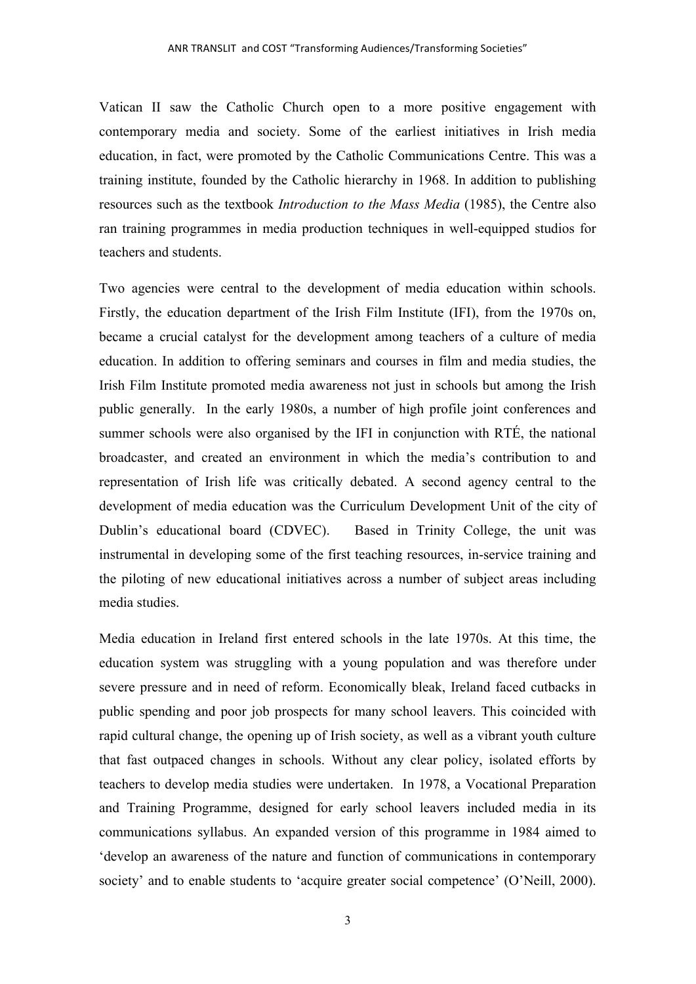Vatican II saw the Catholic Church open to a more positive engagement with contemporary media and society. Some of the earliest initiatives in Irish media education, in fact, were promoted by the Catholic Communications Centre. This was a training institute, founded by the Catholic hierarchy in 1968. In addition to publishing resources such as the textbook *Introduction to the Mass Media* (1985), the Centre also ran training programmes in media production techniques in well-equipped studios for teachers and students.

Two agencies were central to the development of media education within schools. Firstly, the education department of the Irish Film Institute (IFI), from the 1970s on, became a crucial catalyst for the development among teachers of a culture of media education. In addition to offering seminars and courses in film and media studies, the Irish Film Institute promoted media awareness not just in schools but among the Irish public generally. In the early 1980s, a number of high profile joint conferences and summer schools were also organised by the IFI in conjunction with RTÉ, the national broadcaster, and created an environment in which the media's contribution to and representation of Irish life was critically debated. A second agency central to the development of media education was the Curriculum Development Unit of the city of Dublin's educational board (CDVEC). Based in Trinity College, the unit was instrumental in developing some of the first teaching resources, in-service training and the piloting of new educational initiatives across a number of subject areas including media studies.

Media education in Ireland first entered schools in the late 1970s. At this time, the education system was struggling with a young population and was therefore under severe pressure and in need of reform. Economically bleak, Ireland faced cutbacks in public spending and poor job prospects for many school leavers. This coincided with rapid cultural change, the opening up of Irish society, as well as a vibrant youth culture that fast outpaced changes in schools. Without any clear policy, isolated efforts by teachers to develop media studies were undertaken. In 1978, a Vocational Preparation and Training Programme, designed for early school leavers included media in its communications syllabus. An expanded version of this programme in 1984 aimed to 'develop an awareness of the nature and function of communications in contemporary society' and to enable students to 'acquire greater social competence' (O'Neill, 2000).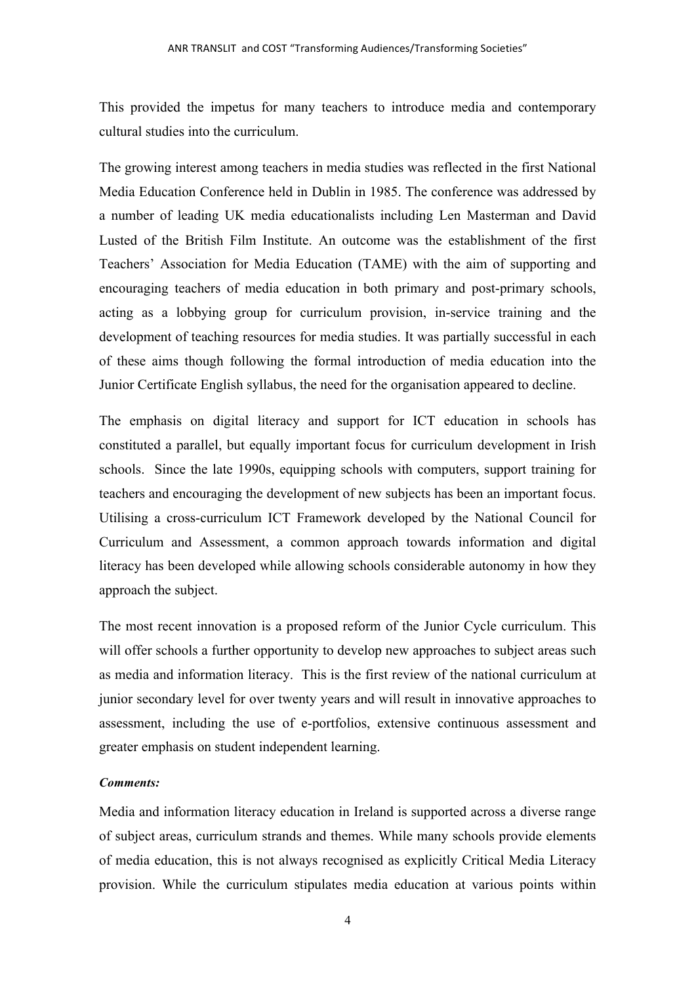This provided the impetus for many teachers to introduce media and contemporary cultural studies into the curriculum.

The growing interest among teachers in media studies was reflected in the first National Media Education Conference held in Dublin in 1985. The conference was addressed by a number of leading UK media educationalists including Len Masterman and David Lusted of the British Film Institute. An outcome was the establishment of the first Teachers' Association for Media Education (TAME) with the aim of supporting and encouraging teachers of media education in both primary and post-primary schools, acting as a lobbying group for curriculum provision, in-service training and the development of teaching resources for media studies. It was partially successful in each of these aims though following the formal introduction of media education into the Junior Certificate English syllabus, the need for the organisation appeared to decline.

The emphasis on digital literacy and support for ICT education in schools has constituted a parallel, but equally important focus for curriculum development in Irish schools. Since the late 1990s, equipping schools with computers, support training for teachers and encouraging the development of new subjects has been an important focus. Utilising a cross-curriculum ICT Framework developed by the National Council for Curriculum and Assessment, a common approach towards information and digital literacy has been developed while allowing schools considerable autonomy in how they approach the subject.

The most recent innovation is a proposed reform of the Junior Cycle curriculum. This will offer schools a further opportunity to develop new approaches to subject areas such as media and information literacy. This is the first review of the national curriculum at junior secondary level for over twenty years and will result in innovative approaches to assessment, including the use of e-portfolios, extensive continuous assessment and greater emphasis on student independent learning.

## *Comments:*

Media and information literacy education in Ireland is supported across a diverse range of subject areas, curriculum strands and themes. While many schools provide elements of media education, this is not always recognised as explicitly Critical Media Literacy provision. While the curriculum stipulates media education at various points within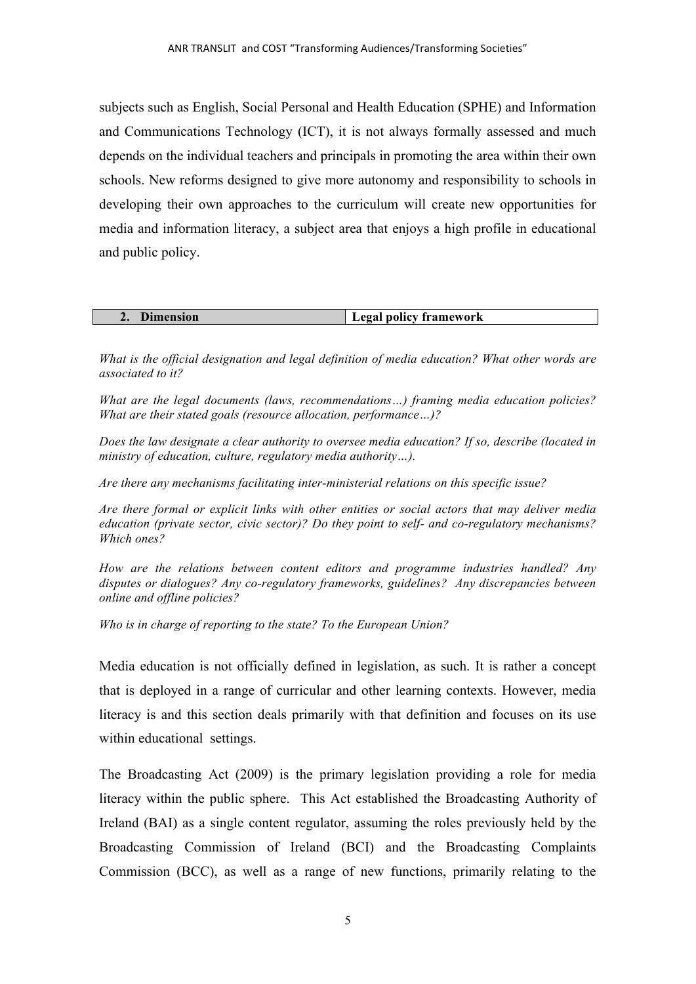subjects such as English, Social Personal and Health Education (SPHE) and Information and Communications Technology (ICT), it is not always formally assessed and much depends on the individual teachers and principals in promoting the area within their own schools. New reforms designed to give more autonomy and responsibility to schools in developing their own approaches to the curriculum will create new opportunities for media and information literacy, a subject area that enjoys a high profile in educational and public policy.

| <b>Dimension</b> | Legal policy framework |
|------------------|------------------------|

*What is the official designation and legal definition of media education? What other words are associated to it?*

*What are the legal documents (laws, recommendations…) framing media education policies? What are their stated goals (resource allocation, performance…)?*

*Does the law designate a clear authority to oversee media education? If so, describe (located in ministry of education, culture, regulatory media authority…).* 

*Are there any mechanisms facilitating inter-ministerial relations on this specific issue?*

*Are there formal or explicit links with other entities or social actors that may deliver media education (private sector, civic sector)? Do they point to self- and co-regulatory mechanisms? Which ones?*

*How are the relations between content editors and programme industries handled? Any disputes or dialogues? Any co-regulatory frameworks, guidelines? Any discrepancies between online and offline policies?*

*Who is in charge of reporting to the state? To the European Union?*

Media education is not officially defined in legislation, as such. It is rather a concept that is deployed in a range of curricular and other learning contexts. However, media literacy is and this section deals primarily with that definition and focuses on its use within educational settings.

The Broadcasting Act (2009) is the primary legislation providing a role for media literacy within the public sphere. This Act established the Broadcasting Authority of Ireland (BAI) as a single content regulator, assuming the roles previously held by the Broadcasting Commission of Ireland (BCI) and the Broadcasting Complaints Commission (BCC), as well as a range of new functions, primarily relating to the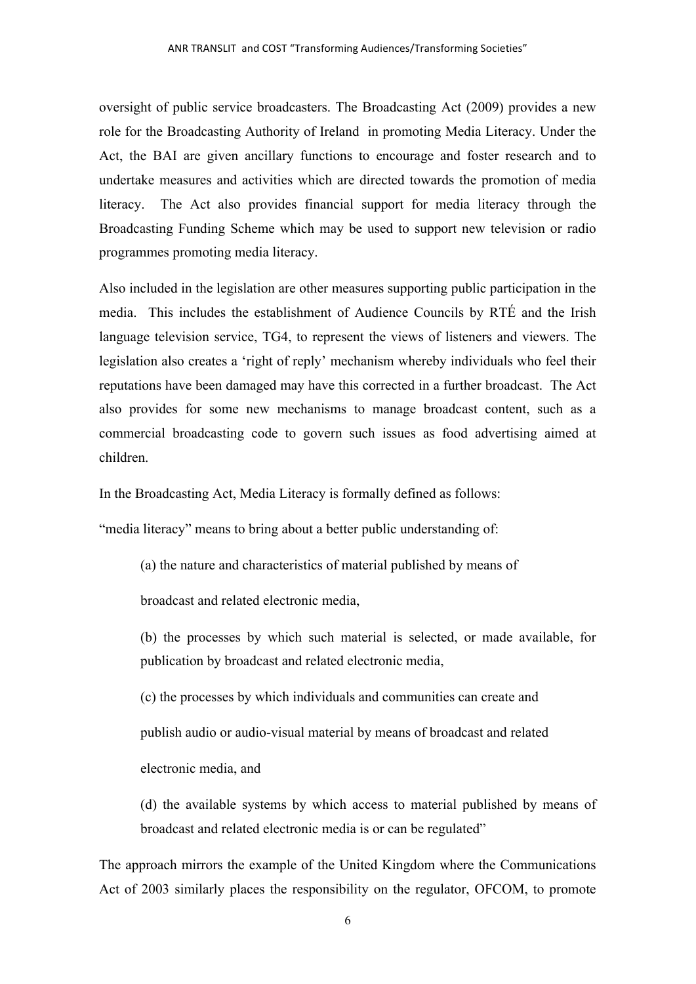oversight of public service broadcasters. The Broadcasting Act (2009) provides a new role for the Broadcasting Authority of Ireland in promoting Media Literacy. Under the Act, the BAI are given ancillary functions to encourage and foster research and to undertake measures and activities which are directed towards the promotion of media literacy. The Act also provides financial support for media literacy through the Broadcasting Funding Scheme which may be used to support new television or radio programmes promoting media literacy.

Also included in the legislation are other measures supporting public participation in the media. This includes the establishment of Audience Councils by RTÉ and the Irish language television service, TG4, to represent the views of listeners and viewers. The legislation also creates a 'right of reply' mechanism whereby individuals who feel their reputations have been damaged may have this corrected in a further broadcast. The Act also provides for some new mechanisms to manage broadcast content, such as a commercial broadcasting code to govern such issues as food advertising aimed at children.

In the Broadcasting Act, Media Literacy is formally defined as follows:

"media literacy" means to bring about a better public understanding of:

(a) the nature and characteristics of material published by means of

broadcast and related electronic media,

(b) the processes by which such material is selected, or made available, for publication by broadcast and related electronic media,

(c) the processes by which individuals and communities can create and

publish audio or audio-visual material by means of broadcast and related

electronic media, and

(d) the available systems by which access to material published by means of broadcast and related electronic media is or can be regulated"

The approach mirrors the example of the United Kingdom where the Communications Act of 2003 similarly places the responsibility on the regulator, OFCOM, to promote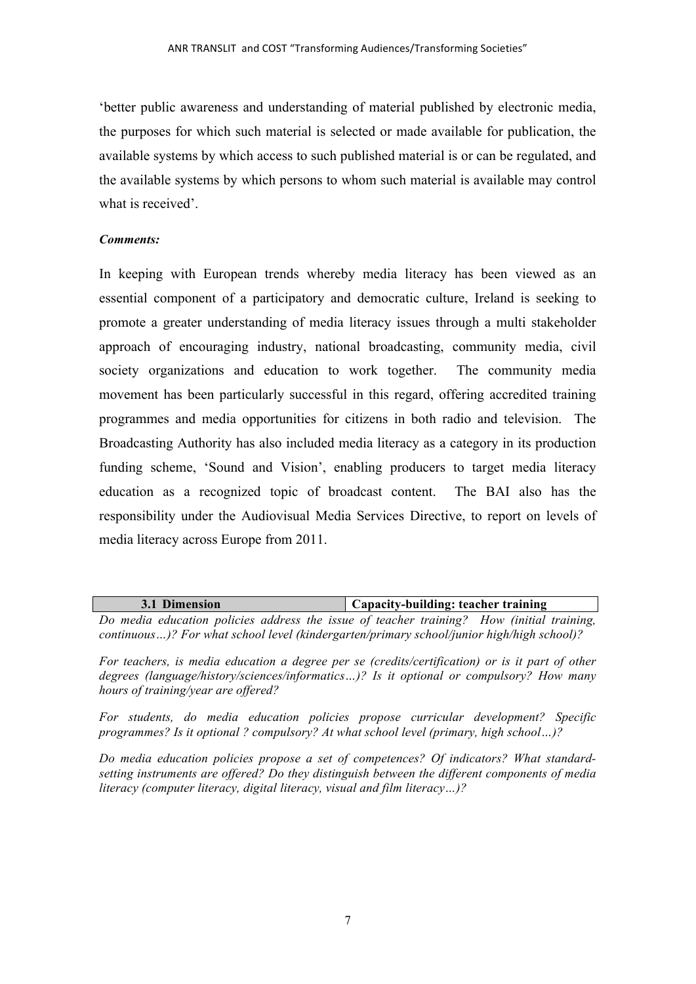'better public awareness and understanding of material published by electronic media, the purposes for which such material is selected or made available for publication, the available systems by which access to such published material is or can be regulated, and the available systems by which persons to whom such material is available may control what is received'.

## *Comments:*

In keeping with European trends whereby media literacy has been viewed as an essential component of a participatory and democratic culture, Ireland is seeking to promote a greater understanding of media literacy issues through a multi stakeholder approach of encouraging industry, national broadcasting, community media, civil society organizations and education to work together. The community media movement has been particularly successful in this regard, offering accredited training programmes and media opportunities for citizens in both radio and television. The Broadcasting Authority has also included media literacy as a category in its production funding scheme, 'Sound and Vision', enabling producers to target media literacy education as a recognized topic of broadcast content. The BAI also has the responsibility under the Audiovisual Media Services Directive, to report on levels of media literacy across Europe from 2011.

| 3.1 Dimension |  |                                                                                           | Capacity-building: teacher training |  |  |  |  |  |  |  |  |
|---------------|--|-------------------------------------------------------------------------------------------|-------------------------------------|--|--|--|--|--|--|--|--|
|               |  | Do media education policies address the issue of teacher training? How (initial training, |                                     |  |  |  |  |  |  |  |  |

*continuous…)? For what school level (kindergarten/primary school/junior high/high school)?*

*For teachers, is media education a degree per se (credits/certification) or is it part of other degrees (language/history/sciences/informatics…)? Is it optional or compulsory? How many hours of training/year are offered?*

*For students, do media education policies propose curricular development? Specific programmes? Is it optional ? compulsory? At what school level (primary, high school…)?*

*Do media education policies propose a set of competences? Of indicators? What standardsetting instruments are offered? Do they distinguish between the different components of media literacy (computer literacy, digital literacy, visual and film literacy…)?*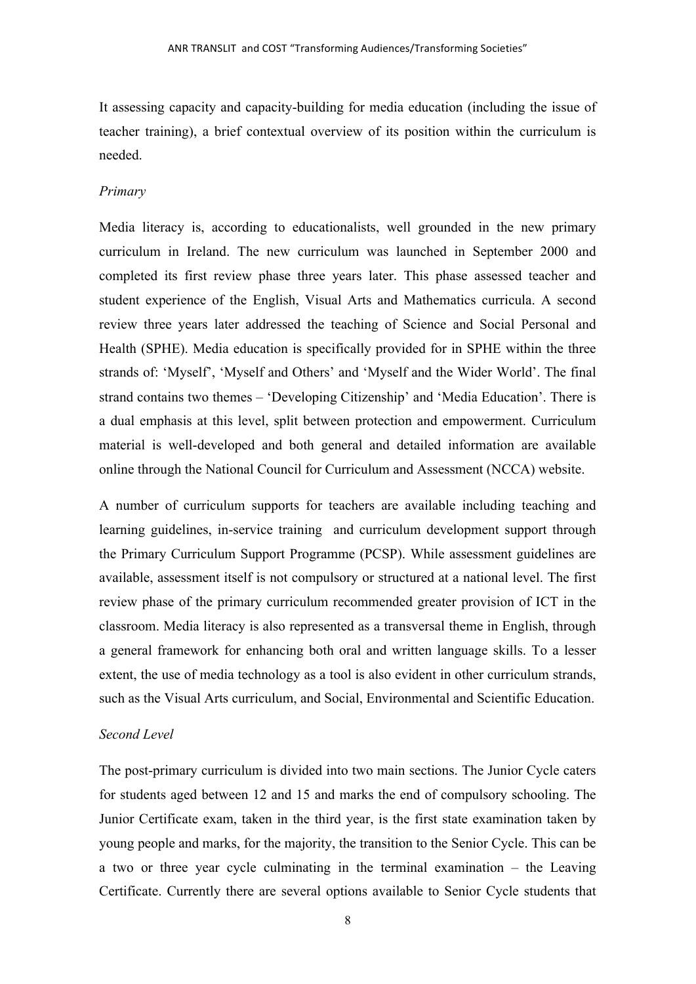It assessing capacity and capacity-building for media education (including the issue of teacher training), a brief contextual overview of its position within the curriculum is needed.

#### *Primary*

Media literacy is, according to educationalists, well grounded in the new primary curriculum in Ireland. The new curriculum was launched in September 2000 and completed its first review phase three years later. This phase assessed teacher and student experience of the English, Visual Arts and Mathematics curricula. A second review three years later addressed the teaching of Science and Social Personal and Health (SPHE). Media education is specifically provided for in SPHE within the three strands of: 'Myself', 'Myself and Others' and 'Myself and the Wider World'. The final strand contains two themes – 'Developing Citizenship' and 'Media Education'. There is a dual emphasis at this level, split between protection and empowerment. Curriculum material is well-developed and both general and detailed information are available online through the National Council for Curriculum and Assessment (NCCA) website.

A number of curriculum supports for teachers are available including teaching and learning guidelines, in-service training and curriculum development support through the Primary Curriculum Support Programme (PCSP). While assessment guidelines are available, assessment itself is not compulsory or structured at a national level. The first review phase of the primary curriculum recommended greater provision of ICT in the classroom. Media literacy is also represented as a transversal theme in English, through a general framework for enhancing both oral and written language skills. To a lesser extent, the use of media technology as a tool is also evident in other curriculum strands, such as the Visual Arts curriculum, and Social, Environmental and Scientific Education.

#### *Second Level*

The post-primary curriculum is divided into two main sections. The Junior Cycle caters for students aged between 12 and 15 and marks the end of compulsory schooling. The Junior Certificate exam, taken in the third year, is the first state examination taken by young people and marks, for the majority, the transition to the Senior Cycle. This can be a two or three year cycle culminating in the terminal examination – the Leaving Certificate. Currently there are several options available to Senior Cycle students that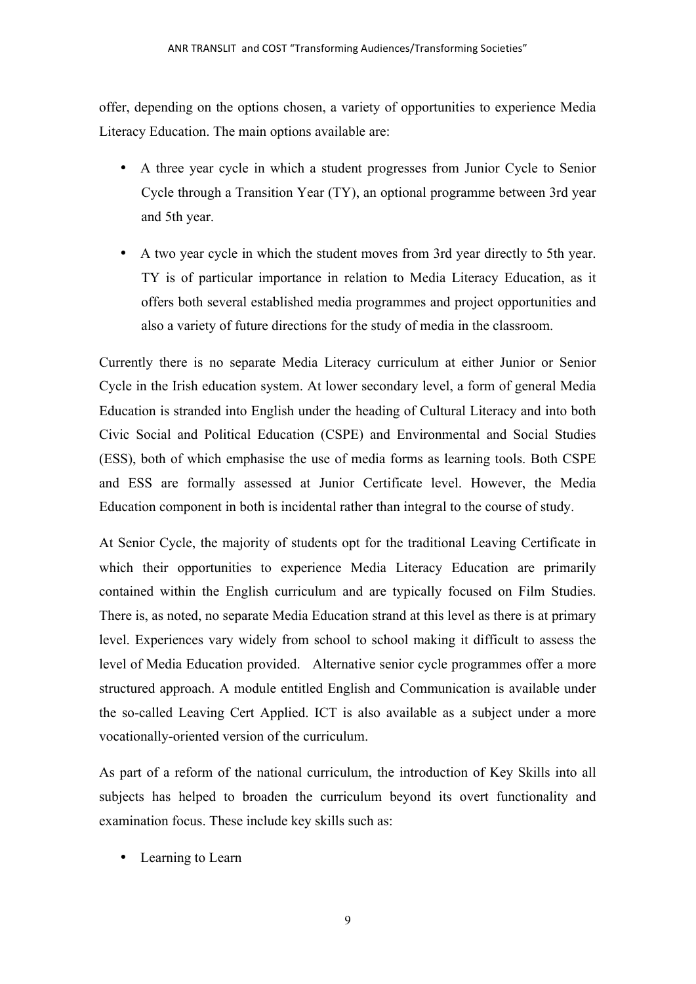offer, depending on the options chosen, a variety of opportunities to experience Media Literacy Education. The main options available are:

- A three year cycle in which a student progresses from Junior Cycle to Senior Cycle through a Transition Year (TY), an optional programme between 3rd year and 5th year.
- A two year cycle in which the student moves from 3rd year directly to 5th year. TY is of particular importance in relation to Media Literacy Education, as it offers both several established media programmes and project opportunities and also a variety of future directions for the study of media in the classroom.

Currently there is no separate Media Literacy curriculum at either Junior or Senior Cycle in the Irish education system. At lower secondary level, a form of general Media Education is stranded into English under the heading of Cultural Literacy and into both Civic Social and Political Education (CSPE) and Environmental and Social Studies (ESS), both of which emphasise the use of media forms as learning tools. Both CSPE and ESS are formally assessed at Junior Certificate level. However, the Media Education component in both is incidental rather than integral to the course of study.

At Senior Cycle, the majority of students opt for the traditional Leaving Certificate in which their opportunities to experience Media Literacy Education are primarily contained within the English curriculum and are typically focused on Film Studies. There is, as noted, no separate Media Education strand at this level as there is at primary level. Experiences vary widely from school to school making it difficult to assess the level of Media Education provided. Alternative senior cycle programmes offer a more structured approach. A module entitled English and Communication is available under the so-called Leaving Cert Applied. ICT is also available as a subject under a more vocationally-oriented version of the curriculum.

As part of a reform of the national curriculum, the introduction of Key Skills into all subjects has helped to broaden the curriculum beyond its overt functionality and examination focus. These include key skills such as:

• Learning to Learn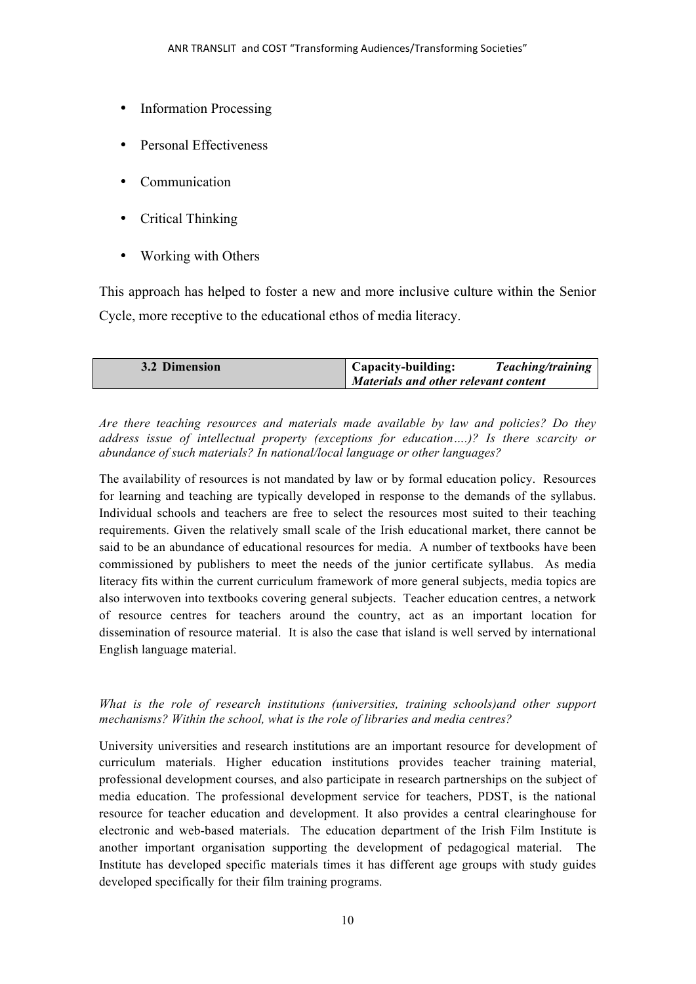- Information Processing
- Personal Effectiveness
- Communication
- Critical Thinking
- Working with Others

This approach has helped to foster a new and more inclusive culture within the Senior Cycle, more receptive to the educational ethos of media literacy.

| 3.2 Dimension | <b>Capacity-building:</b>            | Teaching/training |
|---------------|--------------------------------------|-------------------|
|               | Materials and other relevant content |                   |

*Are there teaching resources and materials made available by law and policies? Do they address issue of intellectual property (exceptions for education….)? Is there scarcity or abundance of such materials? In national/local language or other languages?*

The availability of resources is not mandated by law or by formal education policy. Resources for learning and teaching are typically developed in response to the demands of the syllabus. Individual schools and teachers are free to select the resources most suited to their teaching requirements. Given the relatively small scale of the Irish educational market, there cannot be said to be an abundance of educational resources for media. A number of textbooks have been commissioned by publishers to meet the needs of the junior certificate syllabus. As media literacy fits within the current curriculum framework of more general subjects, media topics are also interwoven into textbooks covering general subjects. Teacher education centres, a network of resource centres for teachers around the country, act as an important location for dissemination of resource material. It is also the case that island is well served by international English language material.

## *What is the role of research institutions (universities, training schools)and other support mechanisms? Within the school, what is the role of libraries and media centres?*

University universities and research institutions are an important resource for development of curriculum materials. Higher education institutions provides teacher training material, professional development courses, and also participate in research partnerships on the subject of media education. The professional development service for teachers, PDST, is the national resource for teacher education and development. It also provides a central clearinghouse for electronic and web-based materials. The education department of the Irish Film Institute is another important organisation supporting the development of pedagogical material. The Institute has developed specific materials times it has different age groups with study guides developed specifically for their film training programs.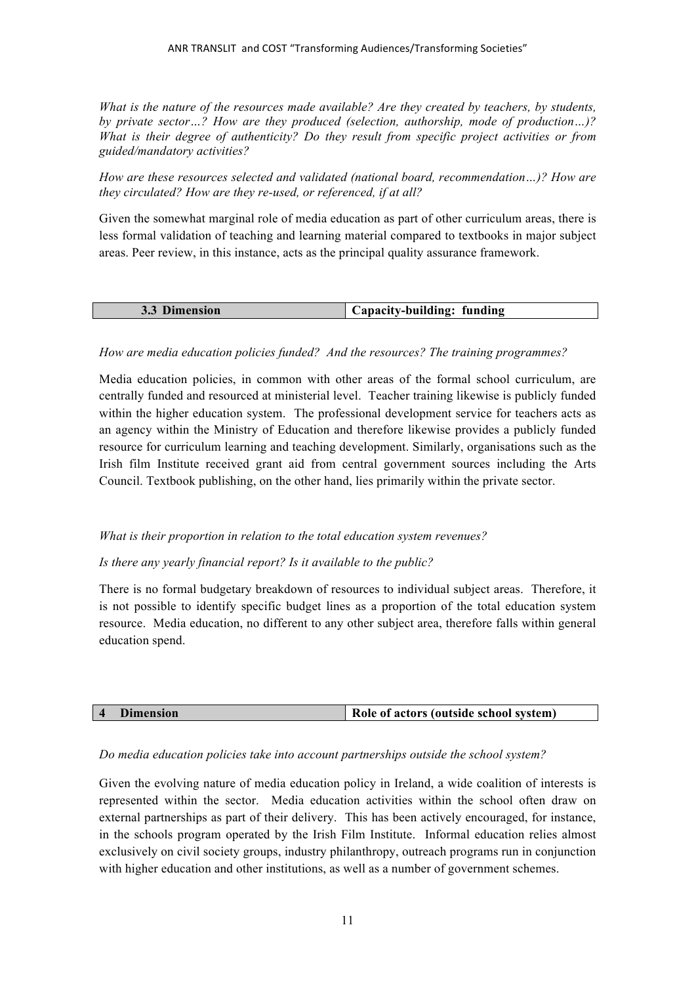*What is the nature of the resources made available? Are they created by teachers, by students, by private sector…? How are they produced (selection, authorship, mode of production…)? What is their degree of authenticity? Do they result from specific project activities or from guided/mandatory activities?*

*How are these resources selected and validated (national board, recommendation…)? How are they circulated? How are they re-used, or referenced, if at all?*

Given the somewhat marginal role of media education as part of other curriculum areas, there is less formal validation of teaching and learning material compared to textbooks in major subject areas. Peer review, in this instance, acts as the principal quality assurance framework.

| <sup>2</sup> <sup>3</sup> Dimension | Capacity-building: funding |
|-------------------------------------|----------------------------|

## *How are media education policies funded? And the resources? The training programmes?*

Media education policies, in common with other areas of the formal school curriculum, are centrally funded and resourced at ministerial level. Teacher training likewise is publicly funded within the higher education system. The professional development service for teachers acts as an agency within the Ministry of Education and therefore likewise provides a publicly funded resource for curriculum learning and teaching development. Similarly, organisations such as the Irish film Institute received grant aid from central government sources including the Arts Council. Textbook publishing, on the other hand, lies primarily within the private sector.

#### *What is their proportion in relation to the total education system revenues?*

*Is there any yearly financial report? Is it available to the public?*

There is no formal budgetary breakdown of resources to individual subject areas. Therefore, it is not possible to identify specific budget lines as a proportion of the total education system resource. Media education, no different to any other subject area, therefore falls within general education spend.

| <b>Dimension</b> | Role of actors (outside school system) |
|------------------|----------------------------------------|

#### *Do media education policies take into account partnerships outside the school system?*

Given the evolving nature of media education policy in Ireland, a wide coalition of interests is represented within the sector. Media education activities within the school often draw on external partnerships as part of their delivery. This has been actively encouraged, for instance, in the schools program operated by the Irish Film Institute. Informal education relies almost exclusively on civil society groups, industry philanthropy, outreach programs run in conjunction with higher education and other institutions, as well as a number of government schemes.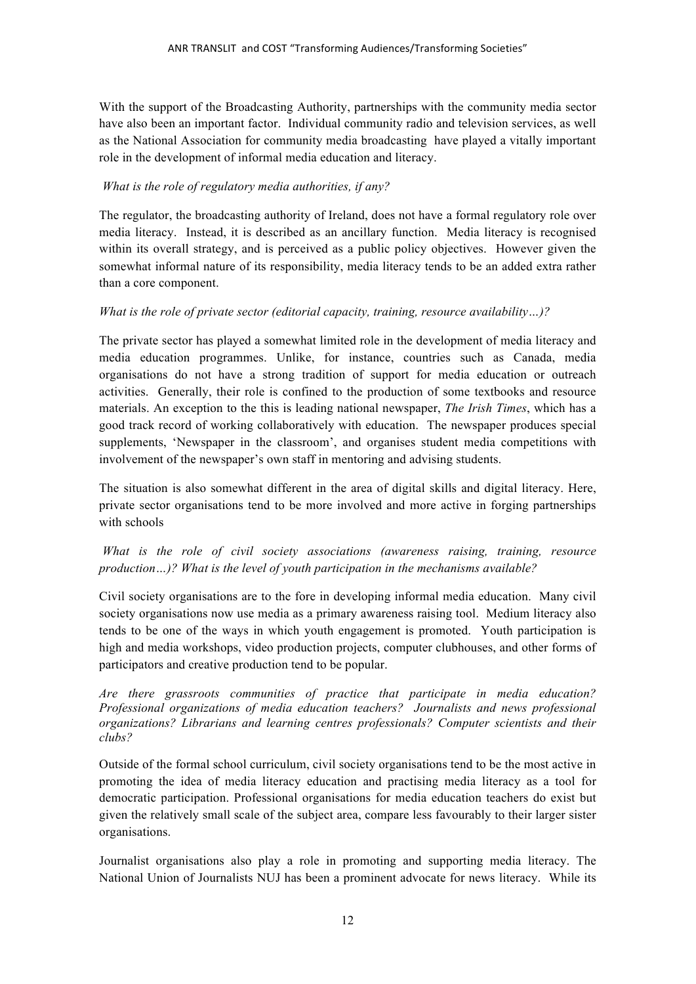With the support of the Broadcasting Authority, partnerships with the community media sector have also been an important factor. Individual community radio and television services, as well as the National Association for community media broadcasting have played a vitally important role in the development of informal media education and literacy.

## *What is the role of regulatory media authorities, if any?*

The regulator, the broadcasting authority of Ireland, does not have a formal regulatory role over media literacy. Instead, it is described as an ancillary function. Media literacy is recognised within its overall strategy, and is perceived as a public policy objectives. However given the somewhat informal nature of its responsibility, media literacy tends to be an added extra rather than a core component.

## *What is the role of private sector (editorial capacity, training, resource availability…)?*

The private sector has played a somewhat limited role in the development of media literacy and media education programmes. Unlike, for instance, countries such as Canada, media organisations do not have a strong tradition of support for media education or outreach activities. Generally, their role is confined to the production of some textbooks and resource materials. An exception to the this is leading national newspaper, *The Irish Times*, which has a good track record of working collaboratively with education. The newspaper produces special supplements, 'Newspaper in the classroom', and organises student media competitions with involvement of the newspaper's own staff in mentoring and advising students.

The situation is also somewhat different in the area of digital skills and digital literacy. Here, private sector organisations tend to be more involved and more active in forging partnerships with schools

## *What is the role of civil society associations (awareness raising, training, resource production…)? What is the level of youth participation in the mechanisms available?*

Civil society organisations are to the fore in developing informal media education. Many civil society organisations now use media as a primary awareness raising tool. Medium literacy also tends to be one of the ways in which youth engagement is promoted. Youth participation is high and media workshops, video production projects, computer clubhouses, and other forms of participators and creative production tend to be popular.

*Are there grassroots communities of practice that participate in media education? Professional organizations of media education teachers? Journalists and news professional organizations? Librarians and learning centres professionals? Computer scientists and their clubs?*

Outside of the formal school curriculum, civil society organisations tend to be the most active in promoting the idea of media literacy education and practising media literacy as a tool for democratic participation. Professional organisations for media education teachers do exist but given the relatively small scale of the subject area, compare less favourably to their larger sister organisations.

Journalist organisations also play a role in promoting and supporting media literacy. The National Union of Journalists NUJ has been a prominent advocate for news literacy. While its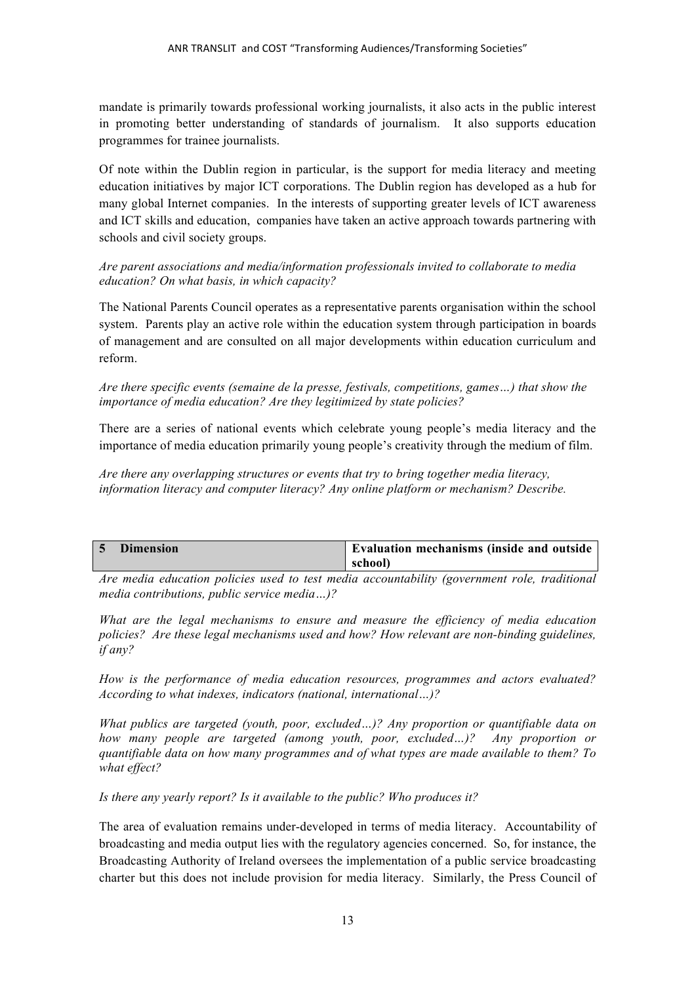mandate is primarily towards professional working journalists, it also acts in the public interest in promoting better understanding of standards of journalism. It also supports education programmes for trainee journalists.

Of note within the Dublin region in particular, is the support for media literacy and meeting education initiatives by major ICT corporations. The Dublin region has developed as a hub for many global Internet companies. In the interests of supporting greater levels of ICT awareness and ICT skills and education, companies have taken an active approach towards partnering with schools and civil society groups.

## *Are parent associations and media/information professionals invited to collaborate to media education? On what basis, in which capacity?*

The National Parents Council operates as a representative parents organisation within the school system. Parents play an active role within the education system through participation in boards of management and are consulted on all major developments within education curriculum and reform.

## *Are there specific events (semaine de la presse, festivals, competitions, games…) that show the importance of media education? Are they legitimized by state policies?*

There are a series of national events which celebrate young people's media literacy and the importance of media education primarily young people's creativity through the medium of film.

*Are there any overlapping structures or events that try to bring together media literacy, information literacy and computer literacy? Any online platform or mechanism? Describe.*

| <b>Dimension</b> | ▲ Evaluation mechanisms (inside and outside |
|------------------|---------------------------------------------|
|                  | school)                                     |

*Are media education policies used to test media accountability (government role, traditional media contributions, public service media…)?* 

*What are the legal mechanisms to ensure and measure the efficiency of media education policies? Are these legal mechanisms used and how? How relevant are non-binding guidelines, if any?* 

*How is the performance of media education resources, programmes and actors evaluated? According to what indexes, indicators (national, international…)?*

*What publics are targeted (youth, poor, excluded…)? Any proportion or quantifiable data on how many people are targeted (among youth, poor, excluded…)? Any proportion or quantifiable data on how many programmes and of what types are made available to them? To what effect?*

*Is there any yearly report? Is it available to the public? Who produces it?*

The area of evaluation remains under-developed in terms of media literacy. Accountability of broadcasting and media output lies with the regulatory agencies concerned. So, for instance, the Broadcasting Authority of Ireland oversees the implementation of a public service broadcasting charter but this does not include provision for media literacy. Similarly, the Press Council of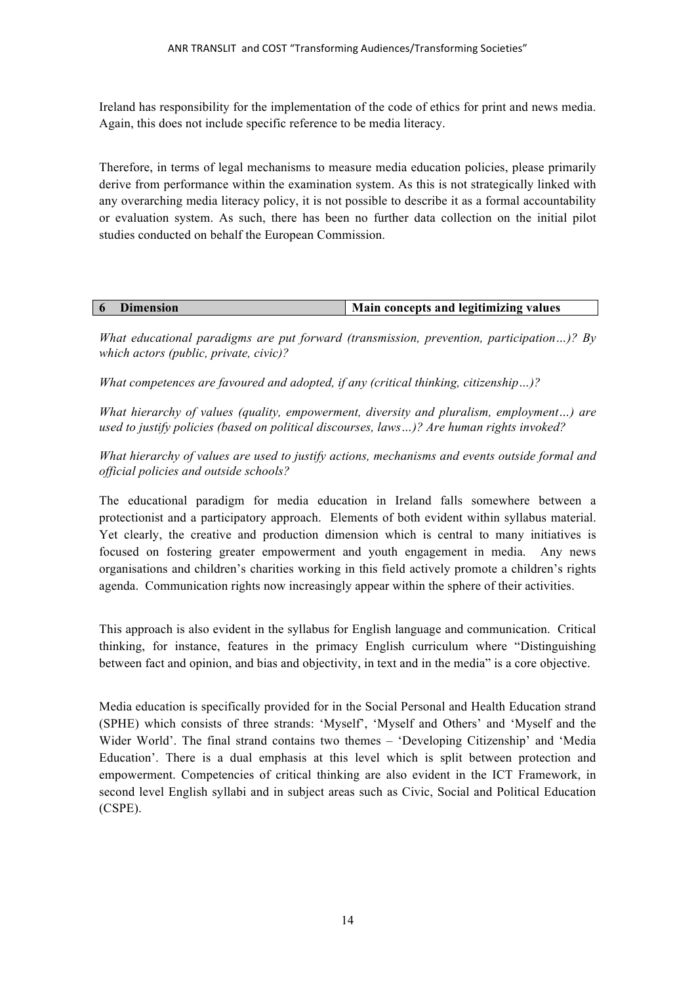Ireland has responsibility for the implementation of the code of ethics for print and news media. Again, this does not include specific reference to be media literacy.

Therefore, in terms of legal mechanisms to measure media education policies, please primarily derive from performance within the examination system. As this is not strategically linked with any overarching media literacy policy, it is not possible to describe it as a formal accountability or evaluation system. As such, there has been no further data collection on the initial pilot studies conducted on behalf the European Commission.

| <b>Dimension</b> | Main concepts and legitimizing values |
|------------------|---------------------------------------|

*What educational paradigms are put forward (transmission, prevention, participation…)? By which actors (public, private, civic)?*

*What competences are favoured and adopted, if any (critical thinking, citizenship…)?*

*What hierarchy of values (quality, empowerment, diversity and pluralism, employment…) are used to justify policies (based on political discourses, laws…)? Are human rights invoked?* 

*What hierarchy of values are used to justify actions, mechanisms and events outside formal and official policies and outside schools?*

The educational paradigm for media education in Ireland falls somewhere between a protectionist and a participatory approach. Elements of both evident within syllabus material. Yet clearly, the creative and production dimension which is central to many initiatives is focused on fostering greater empowerment and youth engagement in media. Any news organisations and children's charities working in this field actively promote a children's rights agenda. Communication rights now increasingly appear within the sphere of their activities.

This approach is also evident in the syllabus for English language and communication. Critical thinking, for instance, features in the primacy English curriculum where "Distinguishing between fact and opinion, and bias and objectivity, in text and in the media" is a core objective.

Media education is specifically provided for in the Social Personal and Health Education strand (SPHE) which consists of three strands: 'Myself', 'Myself and Others' and 'Myself and the Wider World'. The final strand contains two themes – 'Developing Citizenship' and 'Media Education'. There is a dual emphasis at this level which is split between protection and empowerment. Competencies of critical thinking are also evident in the ICT Framework, in second level English syllabi and in subject areas such as Civic, Social and Political Education (CSPE).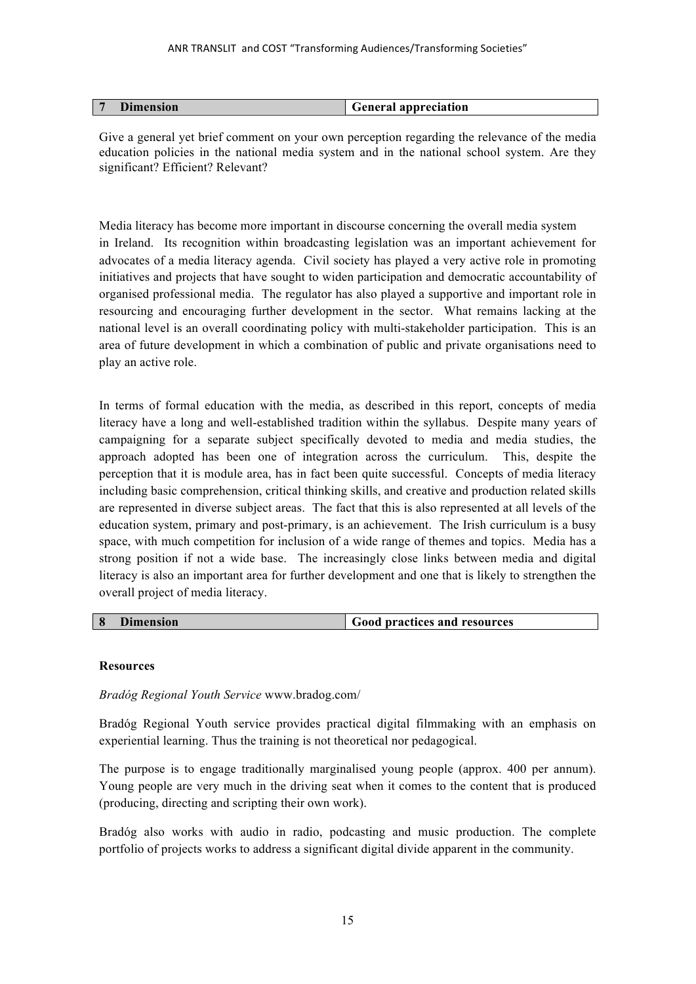| Dimension<br><b>General appreciation</b> |
|------------------------------------------|
|------------------------------------------|

Give a general yet brief comment on your own perception regarding the relevance of the media education policies in the national media system and in the national school system. Are they significant? Efficient? Relevant?

Media literacy has become more important in discourse concerning the overall media system in Ireland. Its recognition within broadcasting legislation was an important achievement for advocates of a media literacy agenda. Civil society has played a very active role in promoting initiatives and projects that have sought to widen participation and democratic accountability of organised professional media. The regulator has also played a supportive and important role in resourcing and encouraging further development in the sector. What remains lacking at the national level is an overall coordinating policy with multi-stakeholder participation. This is an area of future development in which a combination of public and private organisations need to play an active role.

In terms of formal education with the media, as described in this report, concepts of media literacy have a long and well-established tradition within the syllabus. Despite many years of campaigning for a separate subject specifically devoted to media and media studies, the approach adopted has been one of integration across the curriculum. This, despite the perception that it is module area, has in fact been quite successful. Concepts of media literacy including basic comprehension, critical thinking skills, and creative and production related skills are represented in diverse subject areas. The fact that this is also represented at all levels of the education system, primary and post-primary, is an achievement. The Irish curriculum is a busy space, with much competition for inclusion of a wide range of themes and topics. Media has a strong position if not a wide base. The increasingly close links between media and digital literacy is also an important area for further development and one that is likely to strengthen the overall project of media literacy.

| 8 | <b>Dimension</b> | <sup>I</sup> Good practices and resources |
|---|------------------|-------------------------------------------|
|   |                  |                                           |

## **Resources**

#### *Bradóg Regional Youth Service* www.bradog.com/

Bradóg Regional Youth service provides practical digital filmmaking with an emphasis on experiential learning. Thus the training is not theoretical nor pedagogical.

The purpose is to engage traditionally marginalised young people (approx. 400 per annum). Young people are very much in the driving seat when it comes to the content that is produced (producing, directing and scripting their own work).

Bradóg also works with audio in radio, podcasting and music production. The complete portfolio of projects works to address a significant digital divide apparent in the community.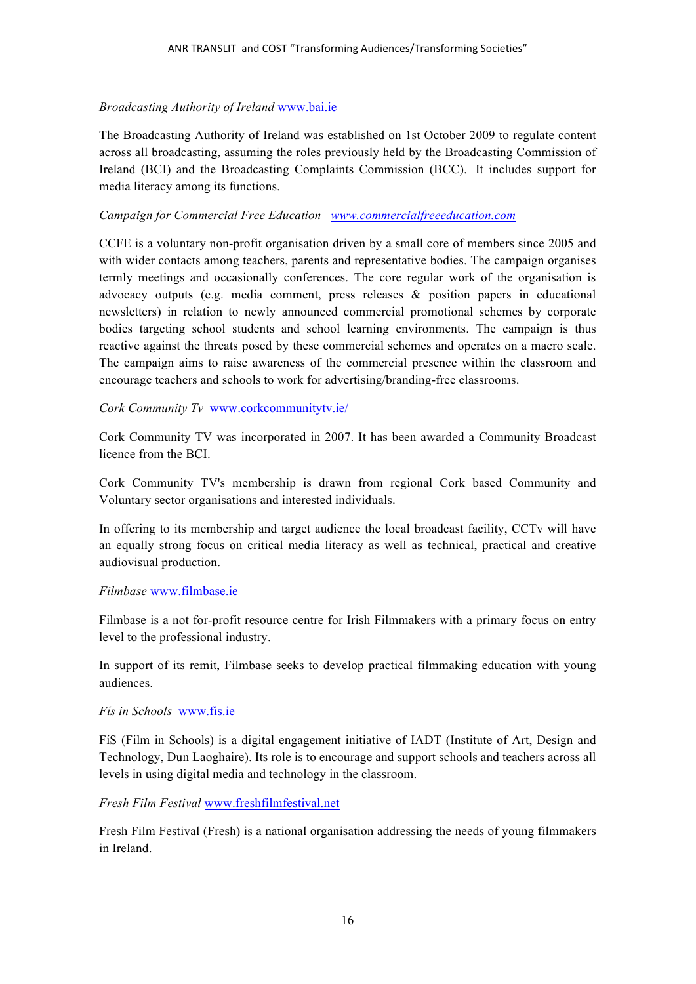## *Broadcasting Authority of Ireland* www.bai.ie

The Broadcasting Authority of Ireland was established on 1st October 2009 to regulate content across all broadcasting, assuming the roles previously held by the Broadcasting Commission of Ireland (BCI) and the Broadcasting Complaints Commission (BCC). It includes support for media literacy among its functions.

#### *Campaign for Commercial Free Education www.commercialfreeeducation.com*

CCFE is a voluntary non-profit organisation driven by a small core of members since 2005 and with wider contacts among teachers, parents and representative bodies. The campaign organises termly meetings and occasionally conferences. The core regular work of the organisation is advocacy outputs (e.g. media comment, press releases & position papers in educational newsletters) in relation to newly announced commercial promotional schemes by corporate bodies targeting school students and school learning environments. The campaign is thus reactive against the threats posed by these commercial schemes and operates on a macro scale. The campaign aims to raise awareness of the commercial presence within the classroom and encourage teachers and schools to work for advertising/branding-free classrooms.

*Cork Community Tv* www.corkcommunitytv.ie/

Cork Community TV was incorporated in 2007. It has been awarded a Community Broadcast licence from the BCI.

Cork Community TV's membership is drawn from regional Cork based Community and Voluntary sector organisations and interested individuals.

In offering to its membership and target audience the local broadcast facility, CCTv will have an equally strong focus on critical media literacy as well as technical, practical and creative audiovisual production.

## *Filmbase* www.filmbase.ie

Filmbase is a not for-profit resource centre for Irish Filmmakers with a primary focus on entry level to the professional industry.

In support of its remit, Filmbase seeks to develop practical filmmaking education with young audiences.

## *Fís in Schools* www.fis.ie

FíS (Film in Schools) is a digital engagement initiative of IADT (Institute of Art, Design and Technology, Dun Laoghaire). Its role is to encourage and support schools and teachers across all levels in using digital media and technology in the classroom.

*Fresh Film Festival* www.freshfilmfestival.net

Fresh Film Festival (Fresh) is a national organisation addressing the needs of young filmmakers in Ireland.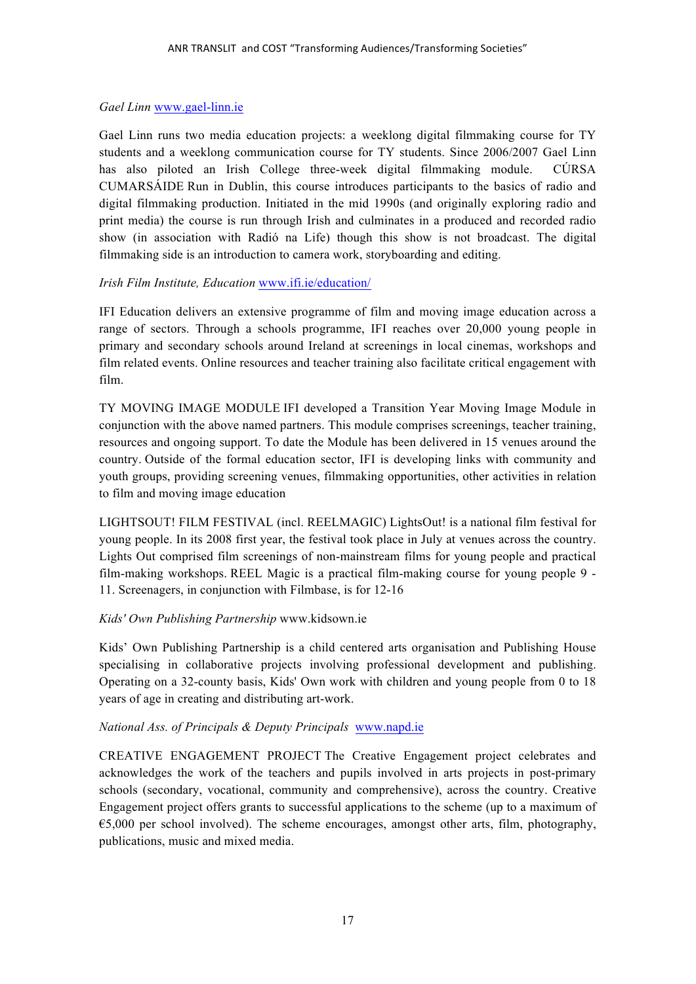#### *Gael Linn* www.gael-linn.ie

Gael Linn runs two media education projects: a weeklong digital filmmaking course for TY students and a weeklong communication course for TY students. Since 2006/2007 Gael Linn has also piloted an Irish College three-week digital filmmaking module. CÚRSA CUMARSÁIDE Run in Dublin, this course introduces participants to the basics of radio and digital filmmaking production. Initiated in the mid 1990s (and originally exploring radio and print media) the course is run through Irish and culminates in a produced and recorded radio show (in association with Radió na Life) though this show is not broadcast. The digital filmmaking side is an introduction to camera work, storyboarding and editing.

## *Irish Film Institute, Education* www.ifi.ie/education/

IFI Education delivers an extensive programme of film and moving image education across a range of sectors. Through a schools programme, IFI reaches over 20,000 young people in primary and secondary schools around Ireland at screenings in local cinemas, workshops and film related events. Online resources and teacher training also facilitate critical engagement with film.

TY MOVING IMAGE MODULE IFI developed a Transition Year Moving Image Module in conjunction with the above named partners. This module comprises screenings, teacher training, resources and ongoing support. To date the Module has been delivered in 15 venues around the country. Outside of the formal education sector, IFI is developing links with community and youth groups, providing screening venues, filmmaking opportunities, other activities in relation to film and moving image education

LIGHTSOUT! FILM FESTIVAL (incl. REELMAGIC) LightsOut! is a national film festival for young people. In its 2008 first year, the festival took place in July at venues across the country. Lights Out comprised film screenings of non-mainstream films for young people and practical film-making workshops. REEL Magic is a practical film-making course for young people 9 - 11. Screenagers, in conjunction with Filmbase, is for 12-16

#### *Kids' Own Publishing Partnership* www.kidsown.ie

Kids' Own Publishing Partnership is a child centered arts organisation and Publishing House specialising in collaborative projects involving professional development and publishing. Operating on a 32-county basis, Kids' Own work with children and young people from 0 to 18 years of age in creating and distributing art-work.

#### *National Ass. of Principals & Deputy Principals* www.napd.ie

CREATIVE ENGAGEMENT PROJECT The Creative Engagement project celebrates and acknowledges the work of the teachers and pupils involved in arts projects in post-primary schools (secondary, vocational, community and comprehensive), across the country. Creative Engagement project offers grants to successful applications to the scheme (up to a maximum of €5,000 per school involved). The scheme encourages, amongst other arts, film, photography, publications, music and mixed media.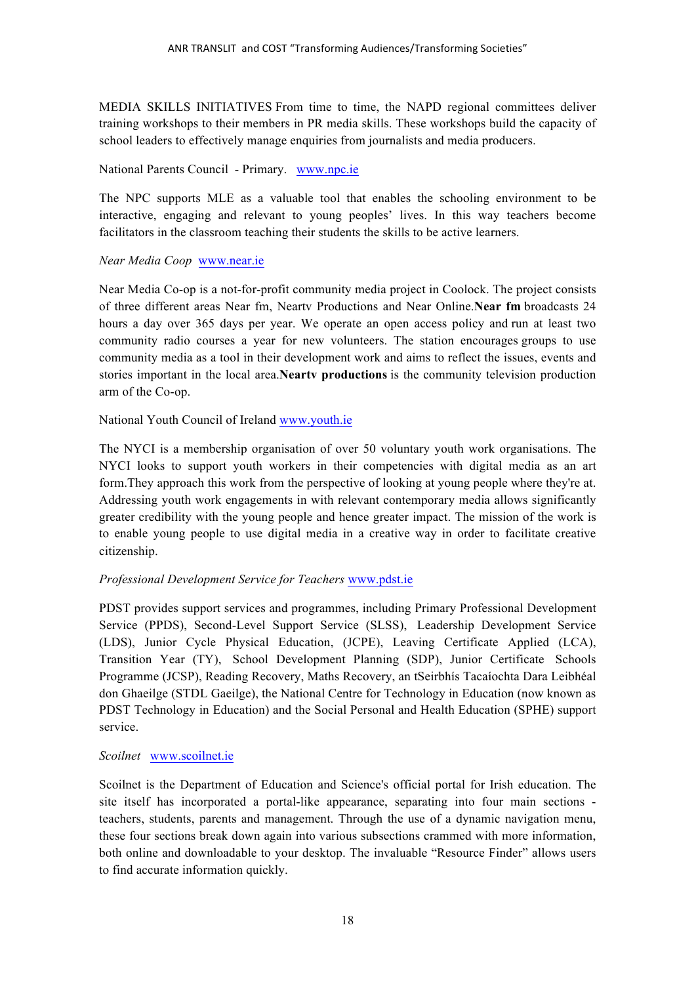MEDIA SKILLS INITIATIVES From time to time, the NAPD regional committees deliver training workshops to their members in PR media skills. These workshops build the capacity of school leaders to effectively manage enquiries from journalists and media producers.

National Parents Council - Primary. www.npc.ie

The NPC supports MLE as a valuable tool that enables the schooling environment to be interactive, engaging and relevant to young peoples' lives. In this way teachers become facilitators in the classroom teaching their students the skills to be active learners.

#### *Near Media Coop* www.near.ie

Near Media Co-op is a not-for-profit community media project in Coolock. The project consists of three different areas Near fm, Neartv Productions and Near Online.**Near fm** broadcasts 24 hours a day over 365 days per year. We operate an open access policy and run at least two community radio courses a year for new volunteers. The station encourages groups to use community media as a tool in their development work and aims to reflect the issues, events and stories important in the local area.**Neartv productions** is the community television production arm of the Co-op.

National Youth Council of Ireland www.youth.ie

The NYCI is a membership organisation of over 50 voluntary youth work organisations. The NYCI looks to support youth workers in their competencies with digital media as an art form.They approach this work from the perspective of looking at young people where they're at. Addressing youth work engagements in with relevant contemporary media allows significantly greater credibility with the young people and hence greater impact. The mission of the work is to enable young people to use digital media in a creative way in order to facilitate creative citizenship.

#### *Professional Development Service for Teachers* www.pdst.ie

PDST provides support services and programmes, including Primary Professional Development Service (PPDS), Second-Level Support Service (SLSS), Leadership Development Service (LDS), Junior Cycle Physical Education, (JCPE), Leaving Certificate Applied (LCA), Transition Year (TY), School Development Planning (SDP), Junior Certificate Schools Programme (JCSP), Reading Recovery, Maths Recovery, an tSeirbhís Tacaíochta Dara Leibhéal don Ghaeilge (STDL Gaeilge), the National Centre for Technology in Education (now known as PDST Technology in Education) and the Social Personal and Health Education (SPHE) support service.

#### *Scoilnet* www.scoilnet.ie

Scoilnet is the Department of Education and Science's official portal for Irish education. The site itself has incorporated a portal-like appearance, separating into four main sections teachers, students, parents and management. Through the use of a dynamic navigation menu, these four sections break down again into various subsections crammed with more information, both online and downloadable to your desktop. The invaluable "Resource Finder" allows users to find accurate information quickly.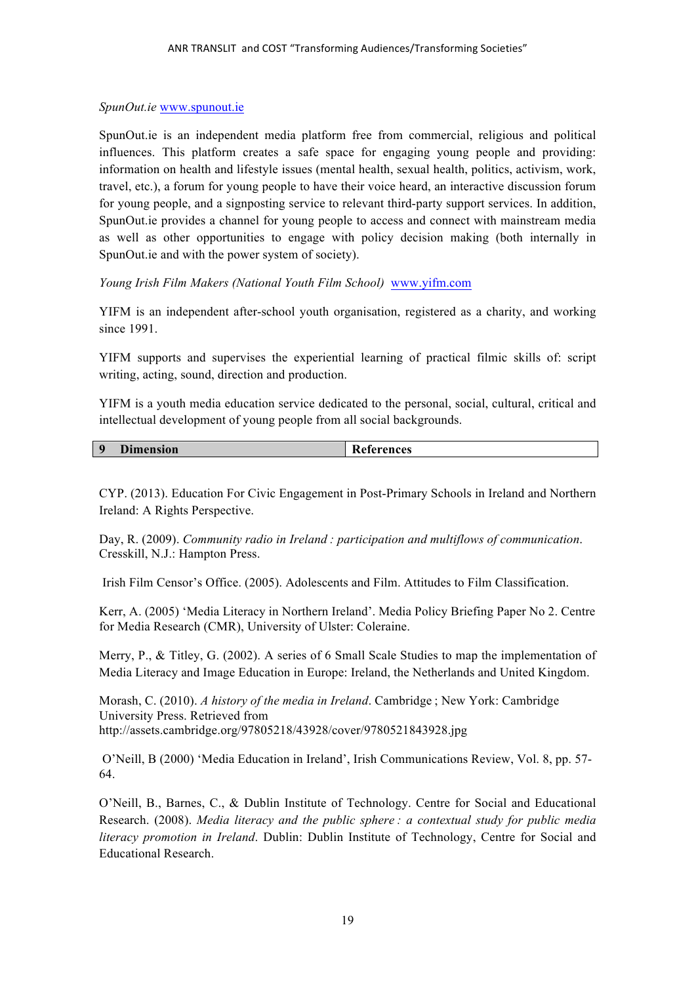#### *SpunOut.ie* www.spunout.ie

SpunOut.ie is an independent media platform free from commercial, religious and political influences. This platform creates a safe space for engaging young people and providing: information on health and lifestyle issues (mental health, sexual health, politics, activism, work, travel, etc.), a forum for young people to have their voice heard, an interactive discussion forum for young people, and a signposting service to relevant third-party support services. In addition, SpunOut.ie provides a channel for young people to access and connect with mainstream media as well as other opportunities to engage with policy decision making (both internally in SpunOut.ie and with the power system of society).

*Young Irish Film Makers (National Youth Film School)* www.yifm.com

YIFM is an independent after-school youth organisation, registered as a charity, and working since 1991.

YIFM supports and supervises the experiential learning of practical filmic skills of: script writing, acting, sound, direction and production.

YIFM is a youth media education service dedicated to the personal, social, cultural, critical and intellectual development of young people from all social backgrounds.

| $\mathbf o$ | Din<br>nension | References |
|-------------|----------------|------------|
|             |                |            |

CYP. (2013). Education For Civic Engagement in Post-Primary Schools in Ireland and Northern Ireland: A Rights Perspective.

Day, R. (2009). *Community radio in Ireland : participation and multiflows of communication*. Cresskill, N.J.: Hampton Press.

Irish Film Censor's Office. (2005). Adolescents and Film. Attitudes to Film Classification.

Kerr, A. (2005) 'Media Literacy in Northern Ireland'. Media Policy Briefing Paper No 2. Centre for Media Research (CMR), University of Ulster: Coleraine.

Merry, P., & Titley, G. (2002). A series of 6 Small Scale Studies to map the implementation of Media Literacy and Image Education in Europe: Ireland, the Netherlands and United Kingdom.

Morash, C. (2010). *A history of the media in Ireland*. Cambridge ; New York: Cambridge University Press. Retrieved from http://assets.cambridge.org/97805218/43928/cover/9780521843928.jpg

O'Neill, B (2000) 'Media Education in Ireland', Irish Communications Review, Vol. 8, pp. 57- 64.

O'Neill, B., Barnes, C., & Dublin Institute of Technology. Centre for Social and Educational Research. (2008). *Media literacy and the public sphere : a contextual study for public media literacy promotion in Ireland*. Dublin: Dublin Institute of Technology, Centre for Social and Educational Research.